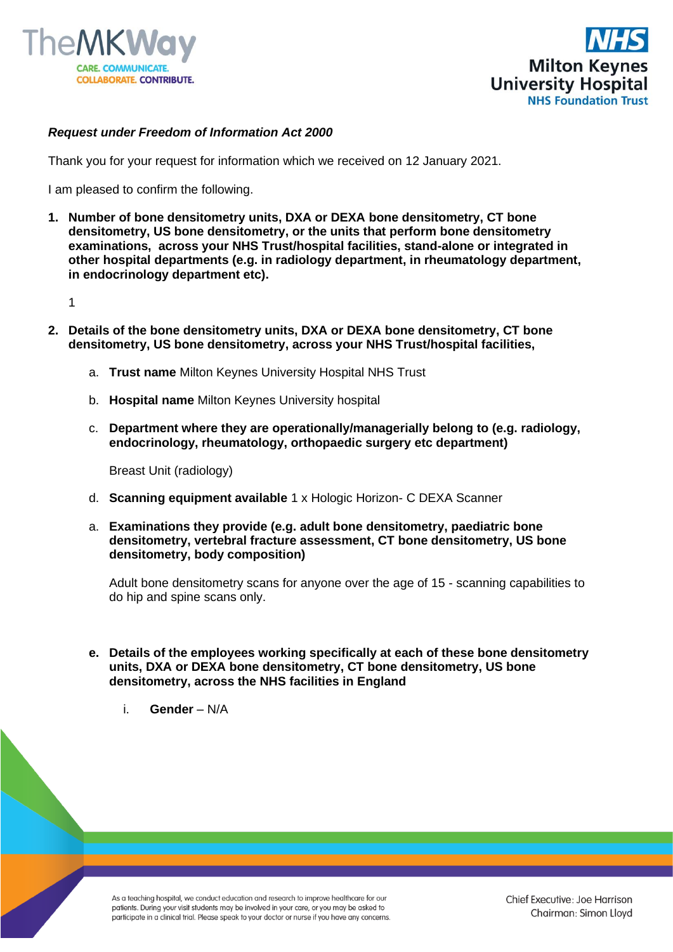



## *Request under Freedom of Information Act 2000*

Thank you for your request for information which we received on 12 January 2021.

I am pleased to confirm the following.

**1. Number of bone densitometry units, DXA or DEXA bone densitometry, CT bone densitometry, US bone densitometry, or the units that perform bone densitometry examinations, across your NHS Trust/hospital facilities, stand-alone or integrated in other hospital departments (e.g. in radiology department, in rheumatology department, in endocrinology department etc).**

1

- **2. Details of the bone densitometry units, DXA or DEXA bone densitometry, CT bone densitometry, US bone densitometry, across your NHS Trust/hospital facilities,**
	- a. **Trust name** Milton Keynes University Hospital NHS Trust
	- b. **Hospital name** Milton Keynes University hospital
	- c. **Department where they are operationally/managerially belong to (e.g. radiology, endocrinology, rheumatology, orthopaedic surgery etc department)**

Breast Unit (radiology)

- d. **Scanning equipment available** 1 x Hologic Horizon- C DEXA Scanner
- a. **Examinations they provide (e.g. adult bone densitometry, paediatric bone densitometry, vertebral fracture assessment, CT bone densitometry, US bone densitometry, body composition)**

Adult bone densitometry scans for anyone over the age of 15 - scanning capabilities to do hip and spine scans only.

- **e. Details of the employees working specifically at each of these bone densitometry units, DXA or DEXA bone densitometry, CT bone densitometry, US bone densitometry, across the NHS facilities in England**
	- i. **Gender**  N/A

As a teaching hospital, we conduct education and research to improve healthcare for our patients. During your visit students may be involved in your care, or you may be asked to participate in a clinical trial. Please speak to your doctor or nurse if you have any concerns.